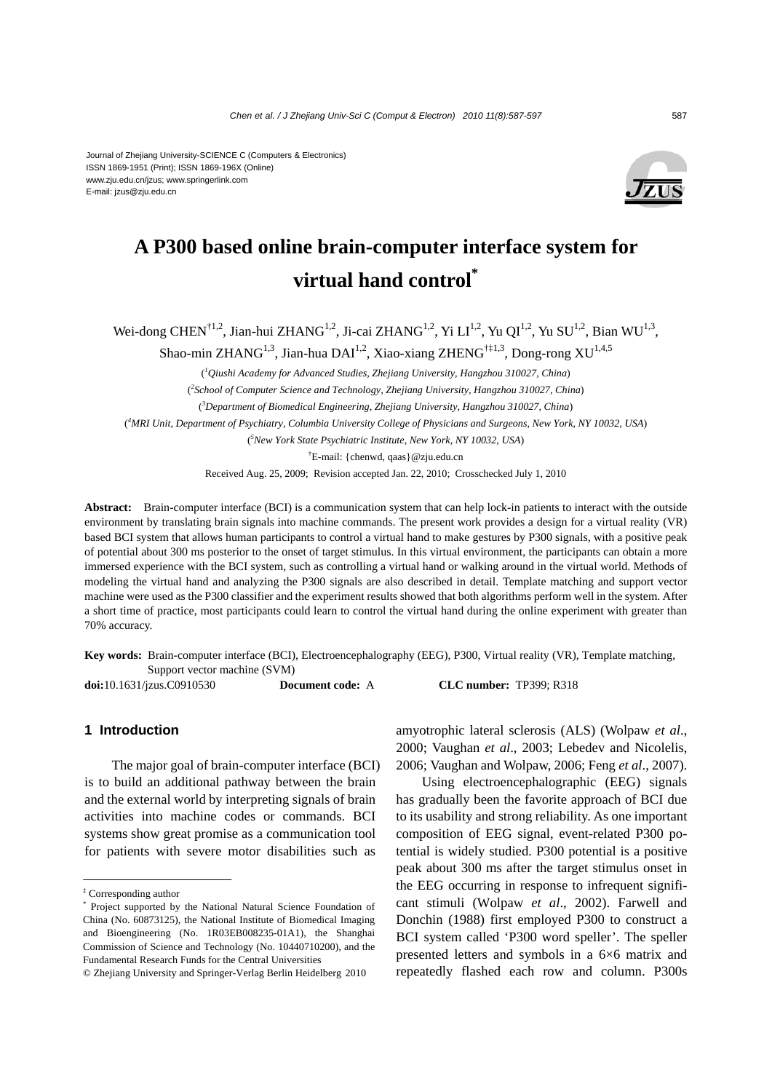#### Journal of Zhejiang University-SCIENCE C (Computers & Electronics) ISSN 1869-1951 (Print); ISSN 1869-196X (Online) www.zju.edu.cn/jzus; www.springerlink.com E-mail: jzus@zju.edu.cn



# **A P300 based online brain-computer interface system for virtual hand control\***

Wei-dong CHEN<sup>†1,2</sup>, Jian-hui ZHANG<sup>1,2</sup>, Ji-cai ZHANG<sup>1,2</sup>, Yi LI<sup>1,2</sup>, Yu QI<sup>1,2</sup>, Yu SU<sup>1,2</sup>, Bian WU<sup>1,3</sup>,

Shao-min ZHANG<sup>1,3</sup>, Jian-hua DAI<sup>1,2</sup>, Xiao-xiang ZHENG<sup>†‡1,3</sup>, Dong-rong XU<sup>1,4,5</sup>

( *1 Qiushi Academy for Advanced Studies, Zhejiang University, Hangzhou 310027, China*)

( *2 School of Computer Science and Technology, Zhejiang University, Hangzhou 310027, China*)

( *3 Department of Biomedical Engineering, Zhejiang University, Hangzhou 310027, China*)

( *4 MRI Unit, Department of Psychiatry, Columbia University College of Physicians and Surgeons, New York, NY 10032, USA*)

( *5 New York State Psychiatric Institute, New York, NY 10032, USA*)

† E-mail: {chenwd, qaas}@zju.edu.cn

Received Aug. 25, 2009; Revision accepted Jan. 22, 2010; Crosschecked July 1, 2010

**Abstract:** Brain-computer interface (BCI) is a communication system that can help lock-in patients to interact with the outside environment by translating brain signals into machine commands. The present work provides a design for a virtual reality (VR) based BCI system that allows human participants to control a virtual hand to make gestures by P300 signals, with a positive peak of potential about 300 ms posterior to the onset of target stimulus. In this virtual environment, the participants can obtain a more immersed experience with the BCI system, such as controlling a virtual hand or walking around in the virtual world. Methods of modeling the virtual hand and analyzing the P300 signals are also described in detail. Template matching and support vector machine were used as the P300 classifier and the experiment results showed that both algorithms perform well in the system. After a short time of practice, most participants could learn to control the virtual hand during the online experiment with greater than 70% accuracy.

**Key words:** Brain-computer interface (BCI), Electroencephalography (EEG), P300, Virtual reality (VR), Template matching, Support vector machine (SVM)

**doi:**10.1631/jzus.C0910530 **Document code:** A **CLC number:** TP399; R318

## **1 Introduction**

The major goal of brain-computer interface (BCI) is to build an additional pathway between the brain and the external world by interpreting signals of brain activities into machine codes or commands. BCI systems show great promise as a communication tool for patients with severe motor disabilities such as

amyotrophic lateral sclerosis (ALS) (Wolpaw *et al*., 2000; Vaughan *et al*., 2003; Lebedev and Nicolelis, 2006; Vaughan and Wolpaw, 2006; Feng *et al*., 2007).

Using electroencephalographic (EEG) signals has gradually been the favorite approach of BCI due to its usability and strong reliability. As one important composition of EEG signal, event-related P300 potential is widely studied. P300 potential is a positive peak about 300 ms after the target stimulus onset in the EEG occurring in response to infrequent significant stimuli (Wolpaw *et al*., 2002). Farwell and Donchin (1988) first employed P300 to construct a BCI system called 'P300 word speller'. The speller presented letters and symbols in a 6×6 matrix and repeatedly flashed each row and column. P300s

<sup>‡</sup> Corresponding author

<sup>\*</sup> Project supported by the National Natural Science Foundation of China (No. 60873125), the National Institute of Biomedical Imaging and Bioengineering (No. 1R03EB008235-01A1), the Shanghai Commission of Science and Technology (No. 10440710200), and the Fundamental Research Funds for the Central Universities

<sup>©</sup> Zhejiang University and Springer-Verlag Berlin Heidelberg 2010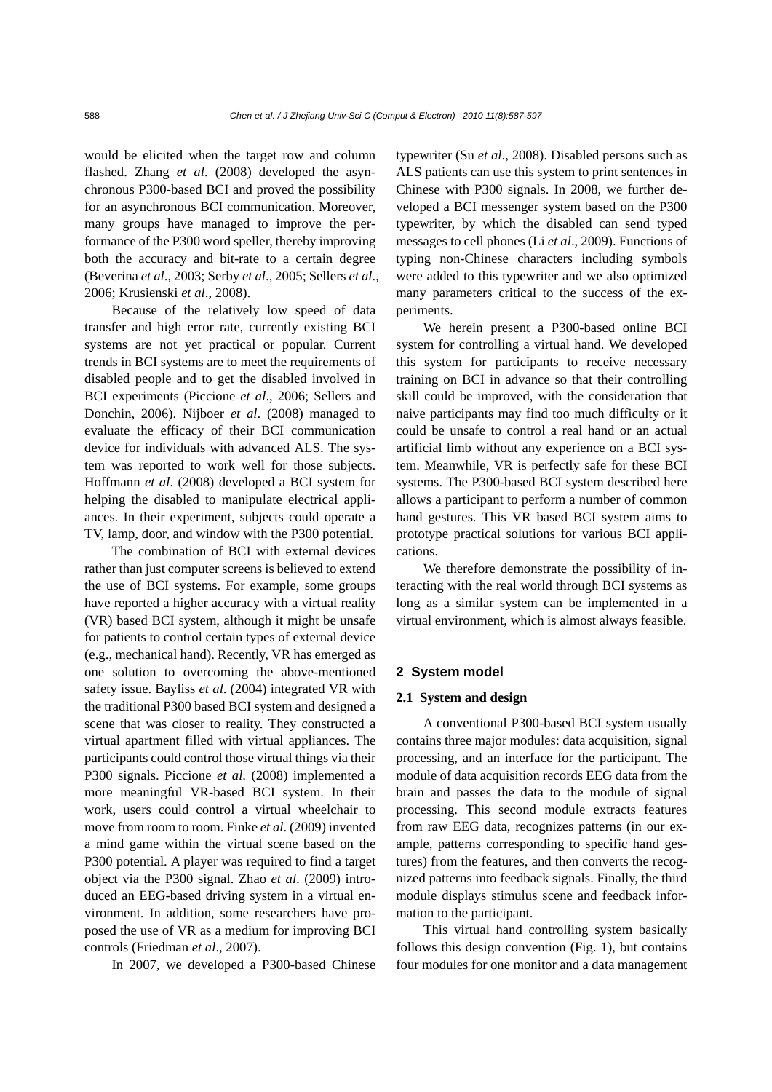would be elicited when the target row and column flashed. Zhang *et al*. (2008) developed the asynchronous P300-based BCI and proved the possibility for an asynchronous BCI communication. Moreover, many groups have managed to improve the performance of the P300 word speller, thereby improving both the accuracy and bit-rate to a certain degree (Beverina *et al*., 2003; Serby *et al*., 2005; Sellers *et al*., 2006; Krusienski *et al*., 2008).

Because of the relatively low speed of data transfer and high error rate, currently existing BCI systems are not yet practical or popular. Current trends in BCI systems are to meet the requirements of disabled people and to get the disabled involved in BCI experiments (Piccione *et al*., 2006; Sellers and Donchin, 2006). Nijboer *et al*. (2008) managed to evaluate the efficacy of their BCI communication device for individuals with advanced ALS. The system was reported to work well for those subjects. Hoffmann *et al*. (2008) developed a BCI system for helping the disabled to manipulate electrical appliances. In their experiment, subjects could operate a TV, lamp, door, and window with the P300 potential.

The combination of BCI with external devices rather than just computer screens is believed to extend the use of BCI systems. For example, some groups have reported a higher accuracy with a virtual reality (VR) based BCI system, although it might be unsafe for patients to control certain types of external device (e.g., mechanical hand). Recently, VR has emerged as one solution to overcoming the above-mentioned safety issue. Bayliss *et al*. (2004) integrated VR with the traditional P300 based BCI system and designed a scene that was closer to reality. They constructed a virtual apartment filled with virtual appliances. The participants could control those virtual things via their P300 signals. Piccione *et al*. (2008) implemented a more meaningful VR-based BCI system. In their work, users could control a virtual wheelchair to move from room to room. Finke *et al*. (2009) invented a mind game within the virtual scene based on the P300 potential. A player was required to find a target object via the P300 signal. Zhao *et al*. (2009) introduced an EEG-based driving system in a virtual environment. In addition, some researchers have proposed the use of VR as a medium for improving BCI controls (Friedman *et al*., 2007).

In 2007, we developed a P300-based Chinese

typewriter (Su *et al*., 2008). Disabled persons such as ALS patients can use this system to print sentences in Chinese with P300 signals. In 2008, we further developed a BCI messenger system based on the P300 typewriter, by which the disabled can send typed messages to cell phones (Li *et al*., 2009). Functions of typing non-Chinese characters including symbols were added to this typewriter and we also optimized many parameters critical to the success of the experiments.

We herein present a P300-based online BCI system for controlling a virtual hand. We developed this system for participants to receive necessary training on BCI in advance so that their controlling skill could be improved, with the consideration that naive participants may find too much difficulty or it could be unsafe to control a real hand or an actual artificial limb without any experience on a BCI system. Meanwhile, VR is perfectly safe for these BCI systems. The P300-based BCI system described here allows a participant to perform a number of common hand gestures. This VR based BCI system aims to prototype practical solutions for various BCI applications.

We therefore demonstrate the possibility of interacting with the real world through BCI systems as long as a similar system can be implemented in a virtual environment, which is almost always feasible.

## **2 System model**

#### **2.1 System and design**

A conventional P300-based BCI system usually contains three major modules: data acquisition, signal processing, and an interface for the participant. The module of data acquisition records EEG data from the brain and passes the data to the module of signal processing. This second module extracts features from raw EEG data, recognizes patterns (in our example, patterns corresponding to specific hand gestures) from the features, and then converts the recognized patterns into feedback signals. Finally, the third module displays stimulus scene and feedback information to the participant.

This virtual hand controlling system basically follows this design convention (Fig. 1), but contains four modules for one monitor and a data management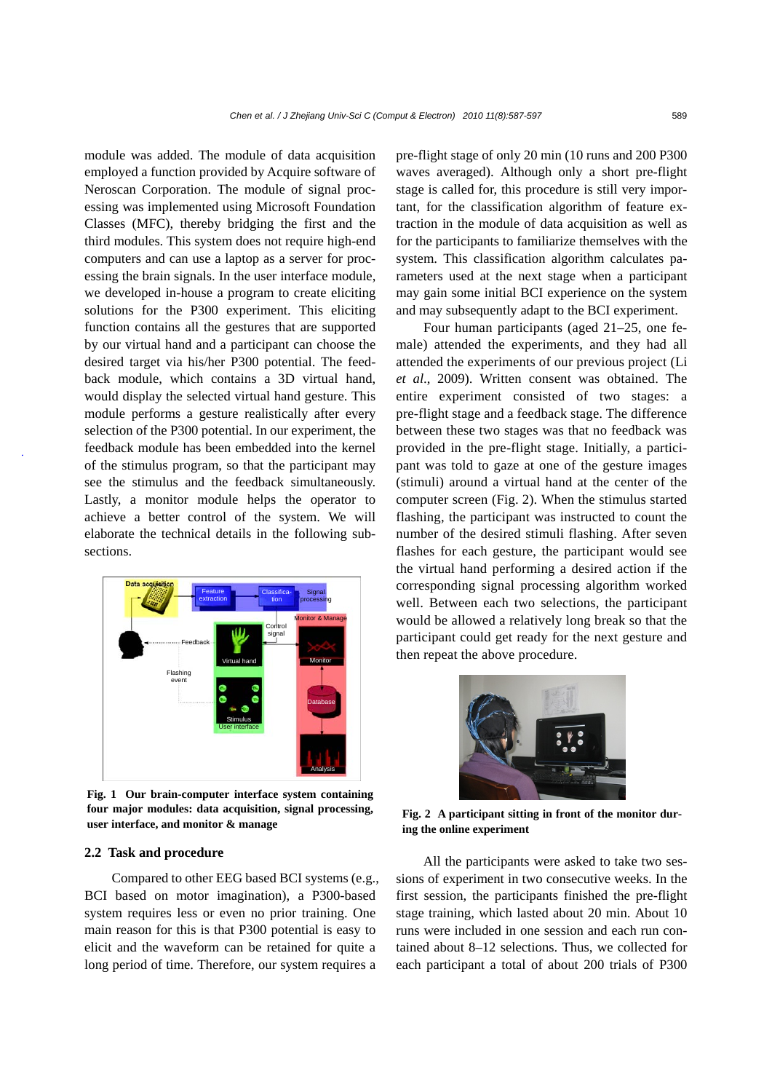module was added. The module of data acquisition employed a function provided by Acquire software of Neroscan Corporation. The module of signal processing was implemented using Microsoft Foundation Classes (MFC), thereby bridging the first and the third modules. This system does not require high-end computers and can use a laptop as a server for processing the brain signals. In the user interface module, we developed in-house a program to create eliciting solutions for the P300 experiment. This eliciting function contains all the gestures that are supported by our virtual hand and a participant can choose the desired target via his/her P300 potential. The feedback module, which contains a 3D virtual hand, would display the selected virtual hand gesture. This module performs a gesture realistically after every selection of the P300 potential. In our experiment, the feedback module has been embedded into the kernel of the stimulus program, so that the participant may see the stimulus and the feedback simultaneously. Lastly, a monitor module helps the operator to achieve a better control of the system. We will elaborate the technical details in the following subsections.



**Fig. 1 Our brain-computer interface system containing four major modules: data acquisition, signal processing, user interface, and monitor & manage** 

#### **2.2 Task and procedure**

Compared to other EEG based BCI systems (e.g., BCI based on motor imagination), a P300-based system requires less or even no prior training. One main reason for this is that P300 potential is easy to elicit and the waveform can be retained for quite a long period of time. Therefore, our system requires a

pre-flight stage of only 20 min (10 runs and 200 P300 waves averaged). Although only a short pre-flight stage is called for, this procedure is still very important, for the classification algorithm of feature extraction in the module of data acquisition as well as for the participants to familiarize themselves with the system. This classification algorithm calculates parameters used at the next stage when a participant may gain some initial BCI experience on the system and may subsequently adapt to the BCI experiment.

Four human participants (aged 21–25, one female) attended the experiments, and they had all attended the experiments of our previous project (Li *et al*., 2009). Written consent was obtained. The entire experiment consisted of two stages: a pre-flight stage and a feedback stage. The difference between these two stages was that no feedback was provided in the pre-flight stage. Initially, a participant was told to gaze at one of the gesture images (stimuli) around a virtual hand at the center of the computer screen (Fig. 2). When the stimulus started flashing, the participant was instructed to count the number of the desired stimuli flashing. After seven flashes for each gesture, the participant would see the virtual hand performing a desired action if the corresponding signal processing algorithm worked well. Between each two selections, the participant would be allowed a relatively long break so that the participant could get ready for the next gesture and then repeat the above procedure.



**Fig. 2 A participant sitting in front of the monitor during the online experiment** 

All the participants were asked to take two sessions of experiment in two consecutive weeks. In the first session, the participants finished the pre-flight stage training, which lasted about 20 min. About 10 runs were included in one session and each run contained about 8–12 selections. Thus, we collected for each participant a total of about 200 trials of P300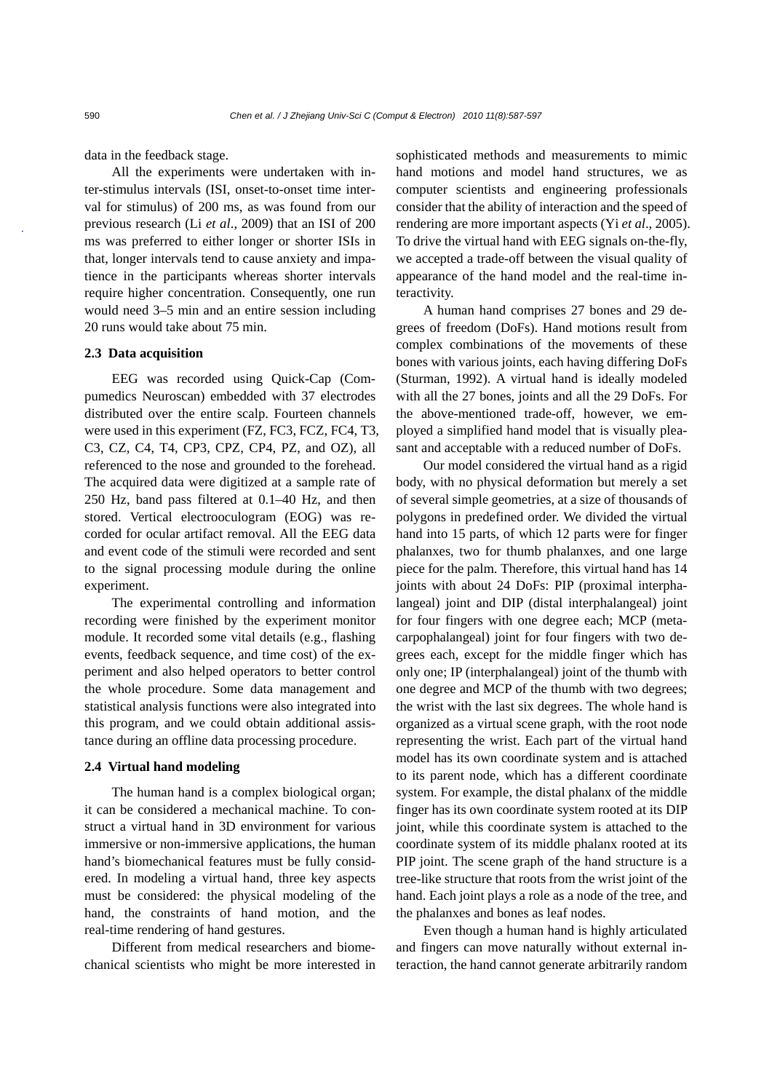data in the feedback stage.

All the experiments were undertaken with inter-stimulus intervals (ISI, onset-to-onset time interval for stimulus) of 200 ms, as was found from our previous research (Li *et al*., 2009) that an ISI of 200 ms was preferred to either longer or shorter ISIs in that, longer intervals tend to cause anxiety and impatience in the participants whereas shorter intervals require higher concentration. Consequently, one run would need 3–5 min and an entire session including 20 runs would take about 75 min.

#### **2.3 Data acquisition**

EEG was recorded using Quick-Cap (Compumedics Neuroscan) embedded with 37 electrodes distributed over the entire scalp. Fourteen channels were used in this experiment (FZ, FC3, FCZ, FC4, T3, C3, CZ, C4, T4, CP3, CPZ, CP4, PZ, and OZ), all referenced to the nose and grounded to the forehead. The acquired data were digitized at a sample rate of 250 Hz, band pass filtered at 0.1–40 Hz, and then stored. Vertical electrooculogram (EOG) was recorded for ocular artifact removal. All the EEG data and event code of the stimuli were recorded and sent to the signal processing module during the online experiment.

The experimental controlling and information recording were finished by the experiment monitor module. It recorded some vital details (e.g., flashing events, feedback sequence, and time cost) of the experiment and also helped operators to better control the whole procedure. Some data management and statistical analysis functions were also integrated into this program, and we could obtain additional assistance during an offline data processing procedure.

#### **2.4 Virtual hand modeling**

The human hand is a complex biological organ; it can be considered a mechanical machine. To construct a virtual hand in 3D environment for various immersive or non-immersive applications, the human hand's biomechanical features must be fully considered. In modeling a virtual hand, three key aspects must be considered: the physical modeling of the hand, the constraints of hand motion, and the real-time rendering of hand gestures.

Different from medical researchers and biomechanical scientists who might be more interested in sophisticated methods and measurements to mimic hand motions and model hand structures, we as computer scientists and engineering professionals consider that the ability of interaction and the speed of rendering are more important aspects (Yi *et al*., 2005). To drive the virtual hand with EEG signals on-the-fly, we accepted a trade-off between the visual quality of appearance of the hand model and the real-time interactivity.

A human hand comprises 27 bones and 29 degrees of freedom (DoFs). Hand motions result from complex combinations of the movements of these bones with various joints, each having differing DoFs (Sturman, 1992). A virtual hand is ideally modeled with all the 27 bones, joints and all the 29 DoFs. For the above-mentioned trade-off, however, we employed a simplified hand model that is visually pleasant and acceptable with a reduced number of DoFs.

Our model considered the virtual hand as a rigid body, with no physical deformation but merely a set of several simple geometries, at a size of thousands of polygons in predefined order. We divided the virtual hand into 15 parts, of which 12 parts were for finger phalanxes, two for thumb phalanxes, and one large piece for the palm. Therefore, this virtual hand has 14 joints with about 24 DoFs: PIP (proximal interphalangeal) joint and DIP (distal interphalangeal) joint for four fingers with one degree each; MCP (metacarpophalangeal) joint for four fingers with two degrees each, except for the middle finger which has only one; IP (interphalangeal) joint of the thumb with one degree and MCP of the thumb with two degrees; the wrist with the last six degrees. The whole hand is organized as a virtual scene graph, with the root node representing the wrist. Each part of the virtual hand model has its own coordinate system and is attached to its parent node, which has a different coordinate system. For example, the distal phalanx of the middle finger has its own coordinate system rooted at its DIP joint, while this coordinate system is attached to the coordinate system of its middle phalanx rooted at its PIP joint. The scene graph of the hand structure is a tree-like structure that roots from the wrist joint of the hand. Each joint plays a role as a node of the tree, and the phalanxes and bones as leaf nodes.

Even though a human hand is highly articulated and fingers can move naturally without external interaction, the hand cannot generate arbitrarily random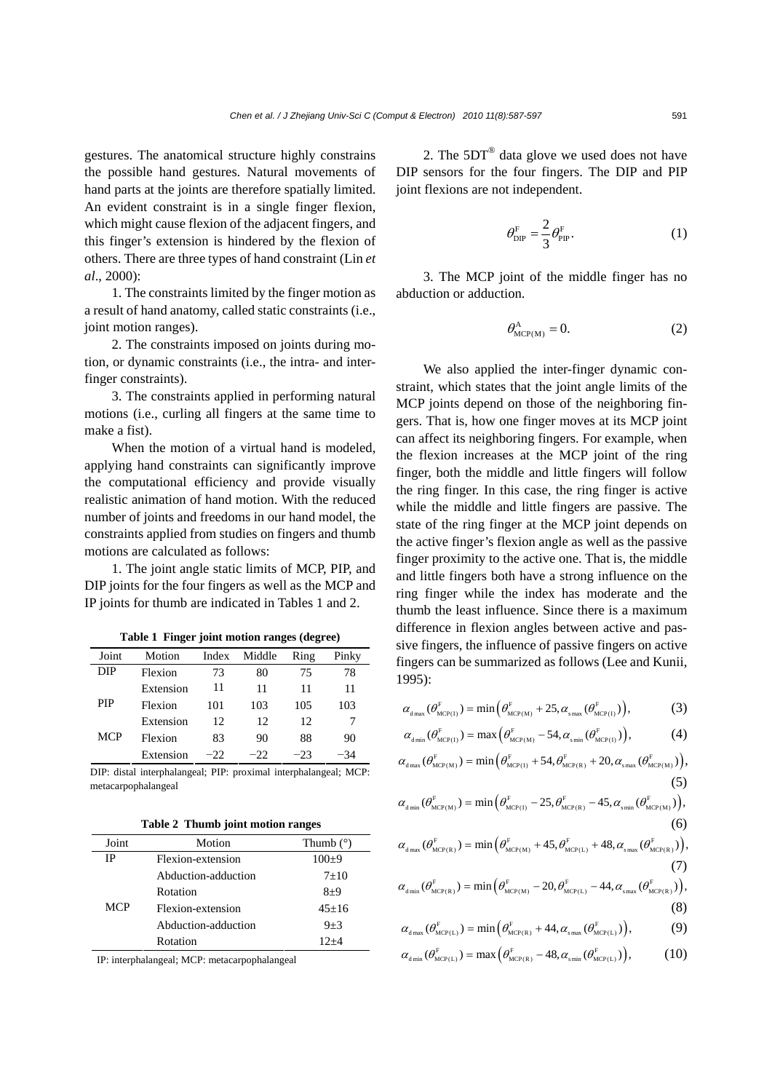gestures. The anatomical structure highly constrains the possible hand gestures. Natural movements of hand parts at the joints are therefore spatially limited. An evident constraint is in a single finger flexion, which might cause flexion of the adjacent fingers, and this finger's extension is hindered by the flexion of others. There are three types of hand constraint (Lin *et al*., 2000):

1. The constraints limited by the finger motion as a result of hand anatomy, called static constraints (i.e., joint motion ranges).

2. The constraints imposed on joints during motion, or dynamic constraints (i.e., the intra- and interfinger constraints).

3. The constraints applied in performing natural motions (i.e., curling all fingers at the same time to make a fist).

When the motion of a virtual hand is modeled, applying hand constraints can significantly improve the computational efficiency and provide visually realistic animation of hand motion. With the reduced number of joints and freedoms in our hand model, the constraints applied from studies on fingers and thumb motions are calculated as follows:

1. The joint angle static limits of MCP, PIP, and DIP joints for the four fingers as well as the MCP and IP joints for thumb are indicated in Tables 1 and 2.

| -------    |           |       |        |       |       |
|------------|-----------|-------|--------|-------|-------|
| Joint      | Motion    | Index | Middle | Ring  | Pinky |
| DIP        | Flexion   | 73    | 80     | 75    | 78    |
|            | Extension | 11    | 11     | 11    | 11    |
| PIP        | Flexion   | 101   | 103    | 105   | 103   |
|            | Extension | 12    | 12     | 12.   |       |
| <b>MCP</b> | Flexion   | 83    | 90     | 88    | 90    |
|            | Extension | $-22$ | $-22$  | $-23$ | -34   |

**Table 1 Finger joint motion ranges (degree)**

DIP: distal interphalangeal; PIP: proximal interphalangeal; MCP: metacarpophalangeal

**Table 2 Thumb joint motion ranges**

| Joint      | Motion              | Thumb $(°)$ |
|------------|---------------------|-------------|
| ΙP         | Flexion-extension   | $100+9$     |
|            | Abduction-adduction | $7 + 10$    |
|            | Rotation            | $8+9$       |
| <b>MCP</b> | Flexion-extension   | $45+16$     |
|            | Abduction-adduction | $9 + 3$     |
|            | Rotation            | $12+4$      |

IP: interphalangeal; MCP: metacarpophalangeal

2. The  $5DT^{\circledR}$  data glove we used does not have DIP sensors for the four fingers. The DIP and PIP joint flexions are not independent.

$$
\theta_{\rm DIP}^{\rm F} = \frac{2}{3} \theta_{\rm PIP}^{\rm F}.
$$
 (1)

3. The MCP joint of the middle finger has no abduction or adduction.

$$
\theta_{\text{MCP(M)}}^{\text{A}} = 0. \tag{2}
$$

We also applied the inter-finger dynamic constraint, which states that the joint angle limits of the MCP joints depend on those of the neighboring fingers. That is, how one finger moves at its MCP joint can affect its neighboring fingers. For example, when the flexion increases at the MCP joint of the ring finger, both the middle and little fingers will follow the ring finger. In this case, the ring finger is active while the middle and little fingers are passive. The state of the ring finger at the MCP joint depends on the active finger's flexion angle as well as the passive finger proximity to the active one. That is, the middle and little fingers both have a strong influence on the ring finger while the index has moderate and the thumb the least influence. Since there is a maximum difference in flexion angles between active and passive fingers, the influence of passive fingers on active fingers can be summarized as follows (Lee and Kunii, 1995):

$$
\alpha_{d_{\max}}(\theta_{\text{MCP}(1)}^{\text{F}}) = \min\left(\theta_{\text{MCP}(M)}^{\text{F}} + 25, \alpha_{\text{snax}}(\theta_{\text{MCP}(1)}^{\text{F}})\right),\tag{3}
$$

$$
\alpha_{\text{dmin}}(\theta_{\text{MCP(I)}}^{\text{F}}) = \max\left(\theta_{\text{MCP(M)}}^{\text{F}} - 54, \alpha_{\text{smin}}(\theta_{\text{MCP(I)}}^{\text{F}})\right),\tag{4}
$$

$$
\alpha_{\text{dmax}}(\theta_{\text{MCP(M)}}^{\text{F}}) = \min\left(\theta_{\text{MCP(I)}}^{\text{F}} + 54, \theta_{\text{MCP(R)}}^{\text{F}} + 20, \alpha_{\text{snax}}(\theta_{\text{MCP(M)}}^{\text{F}})\right),\tag{5}
$$

$$
\alpha_{\text{dmin}}(\theta_{\text{MCP(M)}}^{\text{F}}) = \min\left(\theta_{\text{MCP(I)}}^{\text{F}} - 25, \theta_{\text{MCP(R)}}^{\text{F}} - 45, \alpha_{\text{smin}}(\theta_{\text{MCP(M)}}^{\text{F}})\right),\tag{6}
$$

$$
\alpha_{d_{\max}}(\theta_{\text{MCP(R)}}^{\text{F}}) = \min\left(\theta_{\text{MCP(M)}}^{\text{F}} + 45, \theta_{\text{MCP(L)}}^{\text{F}} + 48, \alpha_{\text{snax}}(\theta_{\text{MCP(R)}}^{\text{F}})\right),\tag{7}
$$

$$
\alpha_{\text{dmin}}(\theta_{\text{MCP(R)}}^{\text{F}}) = \min\left(\theta_{\text{MCP(M)}}^{\text{F}} - 20, \theta_{\text{MCP(L)}}^{\text{F}} - 44, \alpha_{\text{snax}}(\theta_{\text{MCP(R)}}^{\text{F}})\right),\tag{8}
$$

$$
\alpha_{d\max}(\theta^F_{MCP(L)}) = \min(\theta^F_{MCP(R)} + 44, \alpha_{s\max}(\theta^F_{MCP(L)})),
$$
\n(9)

$$
\alpha_{\text{dmin}}(\theta_{\text{MCP(L)}}^{\text{F}}) = \max\left(\theta_{\text{MCP(R)}}^{\text{F}} - 48, \alpha_{\text{smin}}(\theta_{\text{MCP(L)}}^{\text{F}})\right),\tag{10}
$$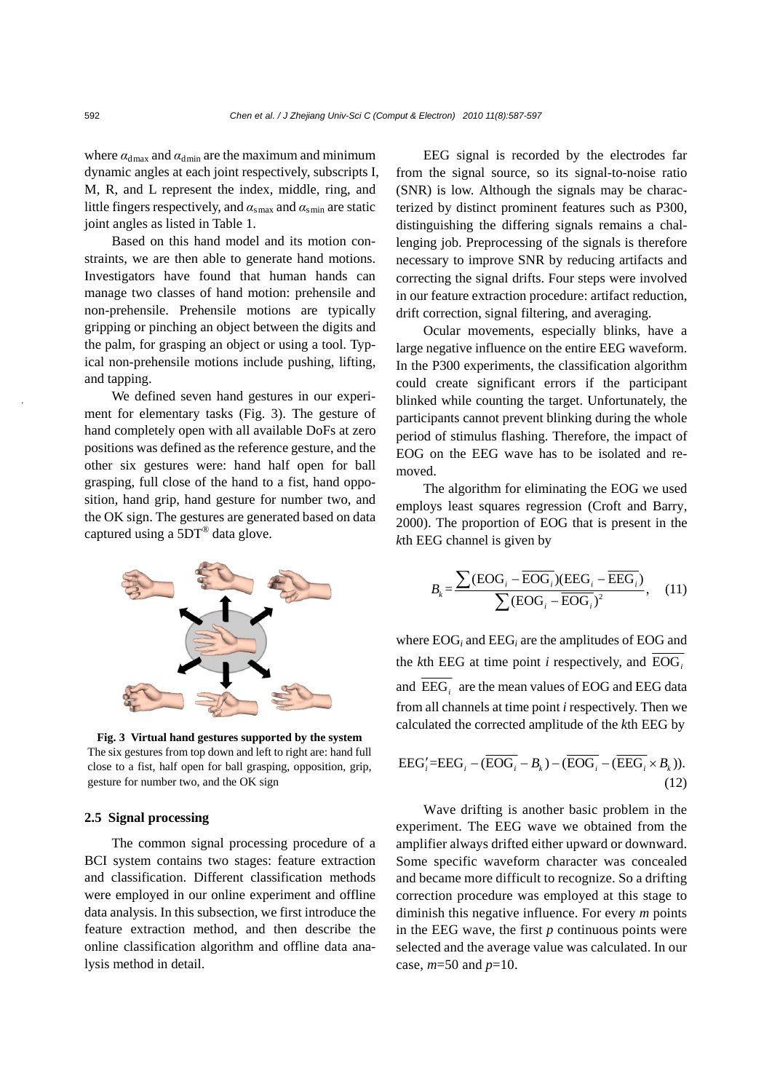where  $\alpha_{\text{dmax}}$  and  $\alpha_{\text{dmin}}$  are the maximum and minimum dynamic angles at each joint respectively, subscripts I, M, R, and L represent the index, middle, ring, and little fingers respectively, and  $\alpha_{\text{smax}}$  and  $\alpha_{\text{smin}}$  are static joint angles as listed in Table 1.

Based on this hand model and its motion constraints, we are then able to generate hand motions. Investigators have found that human hands can manage two classes of hand motion: prehensile and non-prehensile. Prehensile motions are typically gripping or pinching an object between the digits and the palm, for grasping an object or using a tool. Typical non-prehensile motions include pushing, lifting, and tapping.

We defined seven hand gestures in our experiment for elementary tasks (Fig. 3). The gesture of hand completely open with all available DoFs at zero positions was defined as the reference gesture, and the other six gestures were: hand half open for ball grasping, full close of the hand to a fist, hand opposition, hand grip, hand gesture for number two, and the OK sign. The gestures are generated based on data captured using a 5DT® data glove.



**Fig. 3 Virtual hand gestures supported by the system**  The six gestures from top down and left to right are: hand full close to a fist, half open for ball grasping, opposition, grip, gesture for number two, and the OK sign

#### **2.5 Signal processing**

The common signal processing procedure of a BCI system contains two stages: feature extraction and classification. Different classification methods were employed in our online experiment and offline data analysis. In this subsection, we first introduce the feature extraction method, and then describe the online classification algorithm and offline data analysis method in detail.

EEG signal is recorded by the electrodes far from the signal source, so its signal-to-noise ratio (SNR) is low. Although the signals may be characterized by distinct prominent features such as P300, distinguishing the differing signals remains a challenging job. Preprocessing of the signals is therefore necessary to improve SNR by reducing artifacts and correcting the signal drifts. Four steps were involved in our feature extraction procedure: artifact reduction, drift correction, signal filtering, and averaging.

Ocular movements, especially blinks, have a large negative influence on the entire EEG waveform. In the P300 experiments, the classification algorithm could create significant errors if the participant blinked while counting the target. Unfortunately, the participants cannot prevent blinking during the whole period of stimulus flashing. Therefore, the impact of EOG on the EEG wave has to be isolated and removed.

The algorithm for eliminating the EOG we used employs least squares regression (Croft and Barry, 2000). The proportion of EOG that is present in the *k*th EEG channel is given by

$$
B_{k} = \frac{\sum (\text{EOG}_{i} - \overline{\text{EOG}}_{i})(\text{EEG}_{i} - \overline{\text{EEG}}_{i})}{\sum (\text{EOG}_{i} - \overline{\text{EOG}}_{i})^{2}}, \quad (11)
$$

where EOG*i* and EEG*i* are the amplitudes of EOG and the *k*th EEG at time point *i* respectively, and  $\overline{EOG}$ . and EEG*i* are the mean values of EOG and EEG data from all channels at time point *i* respectively. Then we calculated the corrected amplitude of the *k*th EEG by

$$
EEG'_{i} = EEG_{i} - (\overline{EOG_{i}} - B_{k}) - (\overline{EOG_{i}} - (\overline{EEG_{i}} \times B_{k})).
$$
\n(12)

Wave drifting is another basic problem in the experiment. The EEG wave we obtained from the amplifier always drifted either upward or downward. Some specific waveform character was concealed and became more difficult to recognize. So a drifting correction procedure was employed at this stage to diminish this negative influence. For every *m* points in the EEG wave, the first  $p$  continuous points were selected and the average value was calculated. In our case, *m*=50 and *p*=10.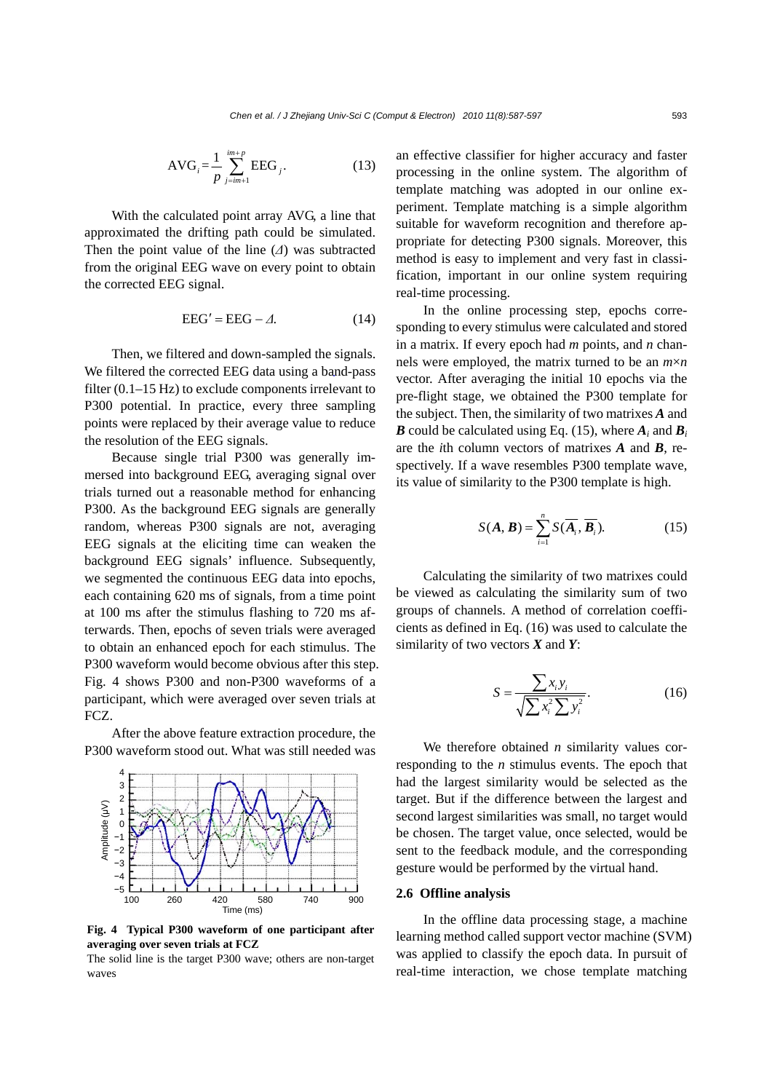$$
AVG_i = \frac{1}{p} \sum_{j=im+1}^{im+p} EEG_j.
$$
 (13)

With the calculated point array AVG, a line that approximated the drifting path could be simulated. Then the point value of the line (*Δ*) was subtracted from the original EEG wave on every point to obtain the corrected EEG signal.

$$
EEG' = EEG - \varDelta. \tag{14}
$$

Then, we filtered and down-sampled the signals. We filtered the corrected EEG data using a band-pass filter (0.1–15 Hz) to exclude components irrelevant to P300 potential. In practice, every three sampling points were replaced by their average value to reduce the resolution of the EEG signals.

Because single trial P300 was generally immersed into background EEG, averaging signal over trials turned out a reasonable method for enhancing P300. As the background EEG signals are generally random, whereas P300 signals are not, averaging EEG signals at the eliciting time can weaken the background EEG signals' influence. Subsequently, we segmented the continuous EEG data into epochs, each containing 620 ms of signals, from a time point at 100 ms after the stimulus flashing to 720 ms afterwards. Then, epochs of seven trials were averaged to obtain an enhanced epoch for each stimulus. The P300 waveform would become obvious after this step. Fig. 4 shows P300 and non-P300 waveforms of a participant, which were averaged over seven trials at FCZ.

After the above feature extraction procedure, the P300 waveform stood out. What was still needed was



**Fig. 4 Typical P300 waveform of one participant after averaging over seven trials at FCZ** 

The solid line is the target P300 wave; others are non-target waves

an effective classifier for higher accuracy and faster processing in the online system. The algorithm of template matching was adopted in our online experiment. Template matching is a simple algorithm suitable for waveform recognition and therefore appropriate for detecting P300 signals. Moreover, this method is easy to implement and very fast in classification, important in our online system requiring real-time processing.

In the online processing step, epochs corresponding to every stimulus were calculated and stored in a matrix. If every epoch had *m* points, and *n* channels were employed, the matrix turned to be an *m*×*n* vector. After averaging the initial 10 epochs via the pre-flight stage, we obtained the P300 template for the subject. Then, the similarity of two matrixes *A* and *B* could be calculated using Eq. (15), where  $A_i$  and  $B_i$ are the *i*th column vectors of matrixes *A* and *B*, respectively. If a wave resembles P300 template wave, its value of similarity to the P300 template is high.

$$
S(\mathbf{A}, \mathbf{B}) = \sum_{i=1}^{n} S(\overline{\mathbf{A}_{i}}, \overline{\mathbf{B}_{i}}).
$$
 (15)

Calculating the similarity of two matrixes could be viewed as calculating the similarity sum of two groups of channels. A method of correlation coefficients as defined in Eq. (16) was used to calculate the similarity of two vectors *X* and *Y*:

$$
S = \frac{\sum x_i y_i}{\sqrt{\sum x_i^2 \sum y_i^2}}.
$$
 (16)

We therefore obtained *n* similarity values corresponding to the *n* stimulus events. The epoch that had the largest similarity would be selected as the target. But if the difference between the largest and second largest similarities was small, no target would be chosen. The target value, once selected, would be sent to the feedback module, and the corresponding gesture would be performed by the virtual hand.

#### **2.6 Offline analysis**

In the offline data processing stage, a machine learning method called support vector machine (SVM) was applied to classify the epoch data. In pursuit of real-time interaction, we chose template matching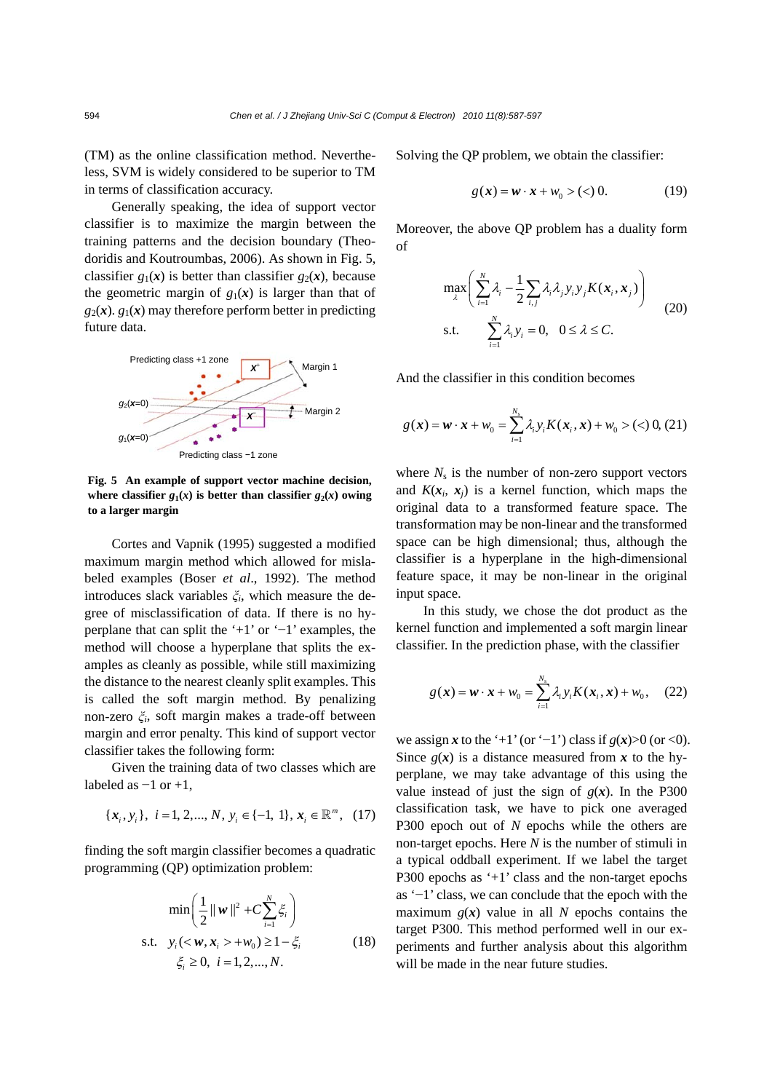(TM) as the online classification method. Nevertheless, SVM is widely considered to be superior to TM in terms of classification accuracy.

Generally speaking, the idea of support vector classifier is to maximize the margin between the training patterns and the decision boundary (Theodoridis and Koutroumbas, 2006). As shown in Fig. 5, classifier  $g_1(x)$  is better than classifier  $g_2(x)$ , because the geometric margin of  $g_1(x)$  is larger than that of  $g_2(x)$ .  $g_1(x)$  may therefore perform better in predicting future data.



**Fig. 5 An example of support vector machine decision,**  where classifier  $g_1(x)$  is better than classifier  $g_2(x)$  owing **to a larger margin**

Cortes and Vapnik (1995) suggested a modified maximum margin method which allowed for mislabeled examples (Boser *et al*., 1992). The method introduces slack variables *ξi*, which measure the degree of misclassification of data. If there is no hyperplane that can split the '+1' or '−1' examples, the method will choose a hyperplane that splits the examples as cleanly as possible, while still maximizing the distance to the nearest cleanly split examples. This is called the soft margin method. By penalizing non-zero *ξi*, soft margin makes a trade-off between margin and error penalty. This kind of support vector classifier takes the following form:

Given the training data of two classes which are labeled as  $-1$  or  $+1$ ,

$$
\{x_i, y_i\}, i = 1, 2, ..., N, y_i \in \{-1, 1\}, x_i \in \mathbb{R}^m, (17)
$$

finding the soft margin classifier becomes a quadratic programming (QP) optimization problem:

$$
\min\left(\frac{1}{2}||w||^{2} + C\sum_{i=1}^{N}\xi_{i}\right)
$$
  
s.t.  $y_{i}(+w_{0}) \ge 1-\xi_{i}$  (18)  
 $\xi_{i} \ge 0, i = 1, 2, ..., N.$ 

Solving the QP problem, we obtain the classifier:

$$
g(x) = w \cdot x + w_0 > (<) 0. \tag{19}
$$

Moreover, the above QP problem has a duality form of

$$
\max_{\lambda} \left( \sum_{i=1}^{N} \lambda_i - \frac{1}{2} \sum_{i,j} \lambda_i \lambda_j y_i y_j K(\boldsymbol{x}_i, \boldsymbol{x}_j) \right)
$$
  
s.t. 
$$
\sum_{i=1}^{N} \lambda_i y_i = 0, \quad 0 \le \lambda \le C.
$$
 (20)

And the classifier in this condition becomes

$$
g(\mathbf{x}) = \mathbf{w} \cdot \mathbf{x} + w_0 = \sum_{i=1}^{N_s} \lambda_i y_i K(\mathbf{x}_i, \mathbf{x}) + w_0 > (\text{0}, 0, 0.21)
$$

where  $N_s$  is the number of non-zero support vectors and  $K(x_i, x_j)$  is a kernel function, which maps the original data to a transformed feature space. The transformation may be non-linear and the transformed space can be high dimensional; thus, although the classifier is a hyperplane in the high-dimensional feature space, it may be non-linear in the original input space.

In this study, we chose the dot product as the kernel function and implemented a soft margin linear classifier. In the prediction phase, with the classifier

$$
g(\boldsymbol{x}) = \boldsymbol{w} \cdot \boldsymbol{x} + w_0 = \sum_{i=1}^{N_s} \lambda_i y_i K(\boldsymbol{x}_i, \boldsymbol{x}) + w_0, \quad (22)
$$

we assign *x* to the '+1' (or '−1') class if  $g(x) > 0$  (or <0). Since  $g(x)$  is a distance measured from x to the hyperplane, we may take advantage of this using the value instead of just the sign of  $g(x)$ . In the P300 classification task, we have to pick one averaged P300 epoch out of *N* epochs while the others are non-target epochs. Here *N* is the number of stimuli in a typical oddball experiment. If we label the target P300 epochs as '+1' class and the non-target epochs as '−1' class, we can conclude that the epoch with the maximum  $g(x)$  value in all *N* epochs contains the target P300. This method performed well in our experiments and further analysis about this algorithm will be made in the near future studies.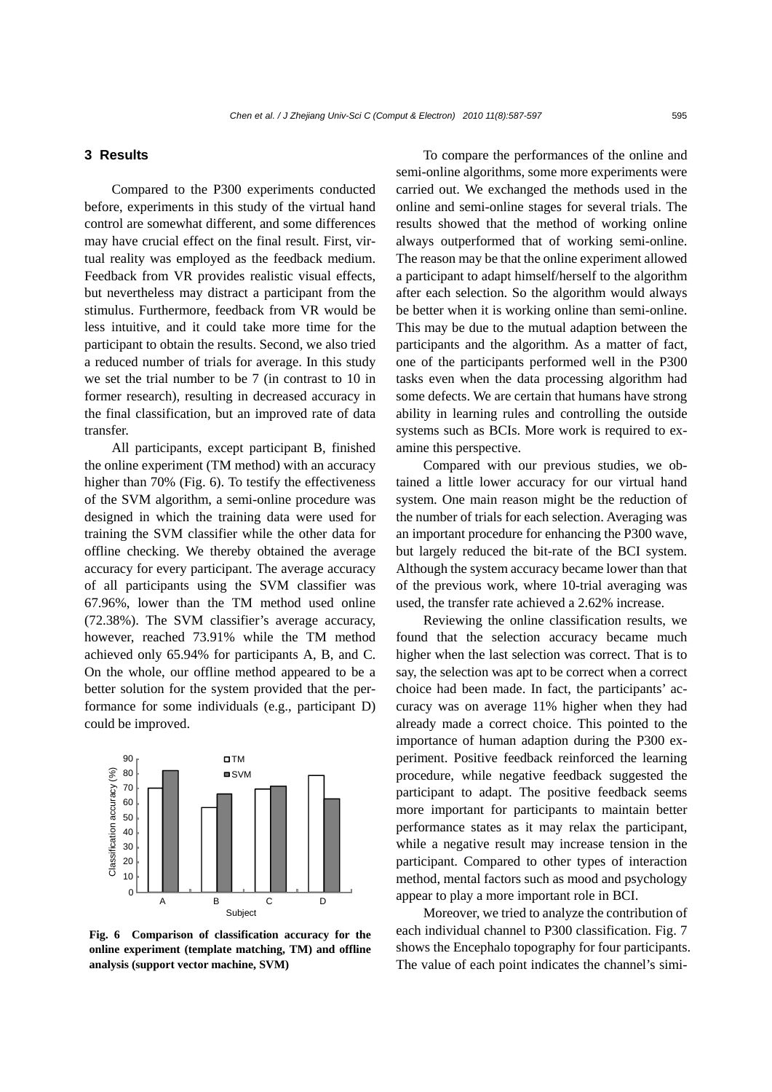### **3 Results**

Compared to the P300 experiments conducted before, experiments in this study of the virtual hand control are somewhat different, and some differences may have crucial effect on the final result. First, virtual reality was employed as the feedback medium. Feedback from VR provides realistic visual effects, but nevertheless may distract a participant from the stimulus. Furthermore, feedback from VR would be less intuitive, and it could take more time for the participant to obtain the results. Second, we also tried a reduced number of trials for average. In this study we set the trial number to be 7 (in contrast to 10 in former research), resulting in decreased accuracy in the final classification, but an improved rate of data transfer.

All participants, except participant B, finished the online experiment (TM method) with an accuracy higher than 70% (Fig. 6). To testify the effectiveness of the SVM algorithm, a semi-online procedure was designed in which the training data were used for training the SVM classifier while the other data for offline checking. We thereby obtained the average accuracy for every participant. The average accuracy of all participants using the SVM classifier was 67.96%, lower than the TM method used online (72.38%). The SVM classifier's average accuracy, however, reached 73.91% while the TM method achieved only 65.94% for participants A, B, and C. On the whole, our offline method appeared to be a better solution for the system provided that the performance for some individuals (e.g., participant D) could be improved.



**Fig. 6 Comparison of classification accuracy for the online experiment (template matching, TM) and offline analysis (support vector machine, SVM)** 

To compare the performances of the online and semi-online algorithms, some more experiments were carried out. We exchanged the methods used in the online and semi-online stages for several trials. The results showed that the method of working online always outperformed that of working semi-online. The reason may be that the online experiment allowed a participant to adapt himself/herself to the algorithm after each selection. So the algorithm would always be better when it is working online than semi-online. This may be due to the mutual adaption between the participants and the algorithm. As a matter of fact, one of the participants performed well in the P300 tasks even when the data processing algorithm had some defects. We are certain that humans have strong ability in learning rules and controlling the outside systems such as BCIs. More work is required to examine this perspective.

Compared with our previous studies, we obtained a little lower accuracy for our virtual hand system. One main reason might be the reduction of the number of trials for each selection. Averaging was an important procedure for enhancing the P300 wave, but largely reduced the bit-rate of the BCI system. Although the system accuracy became lower than that of the previous work, where 10-trial averaging was used, the transfer rate achieved a 2.62% increase.

Reviewing the online classification results, we found that the selection accuracy became much higher when the last selection was correct. That is to say, the selection was apt to be correct when a correct choice had been made. In fact, the participants' accuracy was on average 11% higher when they had already made a correct choice. This pointed to the importance of human adaption during the P300 experiment. Positive feedback reinforced the learning procedure, while negative feedback suggested the participant to adapt. The positive feedback seems more important for participants to maintain better performance states as it may relax the participant, while a negative result may increase tension in the participant. Compared to other types of interaction method, mental factors such as mood and psychology appear to play a more important role in BCI.

Moreover, we tried to analyze the contribution of each individual channel to P300 classification. Fig. 7 shows the Encephalo topography for four participants. The value of each point indicates the channel's simi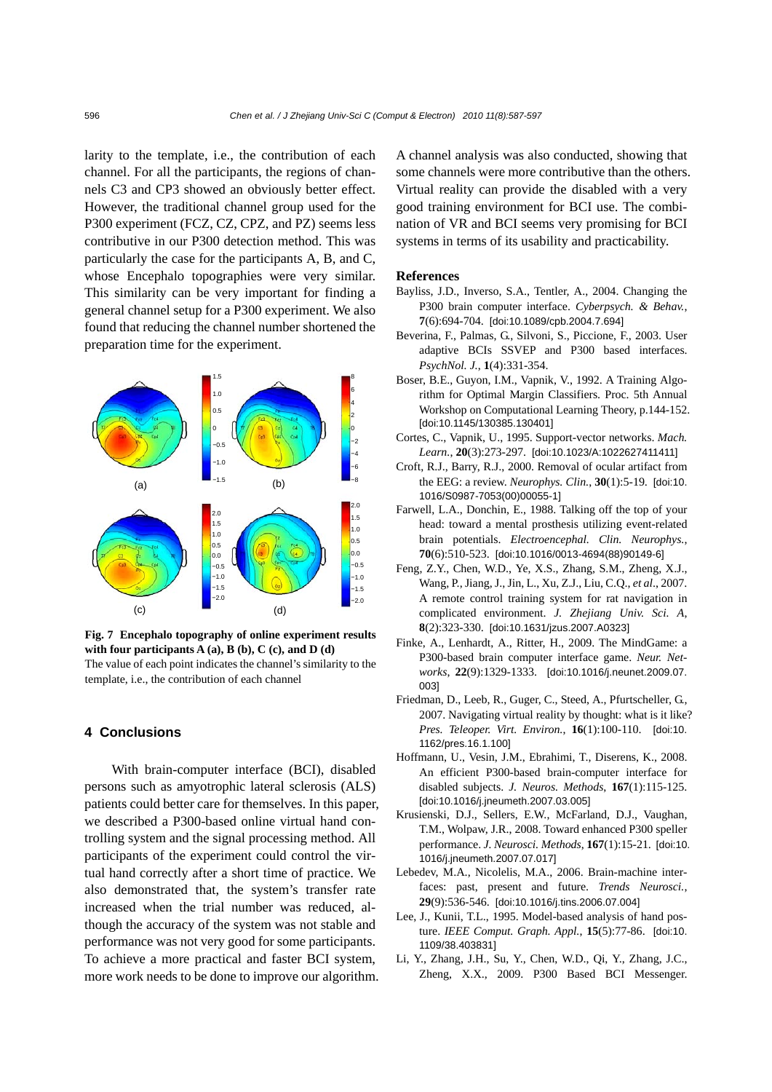larity to the template, i.e., the contribution of each channel. For all the participants, the regions of channels C3 and CP3 showed an obviously better effect. However, the traditional channel group used for the P300 experiment (FCZ, CZ, CPZ, and PZ) seems less contributive in our P300 detection method. This was particularly the case for the participants A, B, and C, whose Encephalo topographies were very similar. This similarity can be very important for finding a general channel setup for a P300 experiment. We also found that reducing the channel number shortened the preparation time for the experiment.



**Fig. 7 Encephalo topography of online experiment results with four participants A (a), B (b), C (c), and D (d)**  The value of each point indicates the channel's similarity to the template, i.e., the contribution of each channel

# **4 Conclusions**

With brain-computer interface (BCI), disabled persons such as amyotrophic lateral sclerosis (ALS) patients could better care for themselves. In this paper, we described a P300-based online virtual hand controlling system and the signal processing method. All participants of the experiment could control the virtual hand correctly after a short time of practice. We also demonstrated that, the system's transfer rate increased when the trial number was reduced, although the accuracy of the system was not stable and performance was not very good for some participants. To achieve a more practical and faster BCI system, more work needs to be done to improve our algorithm. A channel analysis was also conducted, showing that some channels were more contributive than the others. Virtual reality can provide the disabled with a very good training environment for BCI use. The combination of VR and BCI seems very promising for BCI systems in terms of its usability and practicability.

#### **References**

- Bayliss, J.D., Inverso, S.A., Tentler, A., 2004. Changing the P300 brain computer interface. *Cyberpsych. & Behav.*, **7**(6):694-704. [doi:10.1089/cpb.2004.7.694]
- Beverina, F., Palmas, G., Silvoni, S., Piccione, F., 2003. User adaptive BCIs SSVEP and P300 based interfaces. *PsychNol. J.*, **1**(4):331-354.
- Boser, B.E., Guyon, I.M., Vapnik, V., 1992. A Training Algorithm for Optimal Margin Classifiers. Proc. 5th Annual Workshop on Computational Learning Theory, p.144-152. [doi:10.1145/130385.130401]
- Cortes, C., Vapnik, U., 1995. Support-vector networks. *Mach. Learn.*, **20**(3):273-297. [doi:10.1023/A:1022627411411]
- Croft, R.J., Barry, R.J., 2000. Removal of ocular artifact from the EEG: a review. *Neurophys. Clin.*, **30**(1):5-19. [doi:10. 1016/S0987-7053(00)00055-1]
- Farwell, L.A., Donchin, E., 1988. Talking off the top of your head: toward a mental prosthesis utilizing event-related brain potentials. *Electroencephal. Clin. Neurophys.*, **70**(6):510-523. [doi:10.1016/0013-4694(88)90149-6]
- Feng, Z.Y., Chen, W.D., Ye, X.S., Zhang, S.M., Zheng, X.J., Wang, P., Jiang, J., Jin, L., Xu, Z.J., Liu, C.Q., *et al*., 2007. A remote control training system for rat navigation in complicated environment. *J. Zhejiang Univ. Sci. A*, **8**(2):323-330. [doi:10.1631/jzus.2007.A0323]
- Finke, A., Lenhardt, A., Ritter, H., 2009. The MindGame: a P300-based brain computer interface game. *Neur. Networks*, **22**(9):1329-1333. [doi:10.1016/j.neunet.2009.07. 003]
- Friedman, D., Leeb, R., Guger, C., Steed, A., Pfurtscheller, G., 2007. Navigating virtual reality by thought: what is it like? *Pres. Teleoper. Virt. Environ.*, **16**(1):100-110. [doi:10. 1162/pres.16.1.100]
- Hoffmann, U., Vesin, J.M., Ebrahimi, T., Diserens, K., 2008. An efficient P300-based brain*-*computer interface for disabled subjects. *J. Neuros. Methods*, **167**(1):115-125. [doi:10.1016/j.jneumeth.2007.03.005]
- Krusienski, D.J., Sellers, E.W., McFarland, D.J., Vaughan, T.M., Wolpaw, J.R., 2008. Toward enhanced P300 speller performance. *J. Neurosci. Methods*, **167**(1):15-21. [doi:10. 1016/j.jneumeth.2007.07.017]
- Lebedev, M.A., Nicolelis, M.A., 2006. Brain-machine interfaces: past, present and future. *Trends Neurosci.*, **29**(9):536-546. [doi:10.1016/j.tins.2006.07.004]
- Lee, J., Kunii, T.L., 1995. Model-based analysis of hand posture. *IEEE Comput. Graph. Appl.*, **15**(5):77-86. [doi:10. 1109/38.403831]
- Li, Y., Zhang, J.H., Su, Y., Chen, W.D., Qi, Y., Zhang, J.C., Zheng, X.X., 2009. P300 Based BCI Messenger.